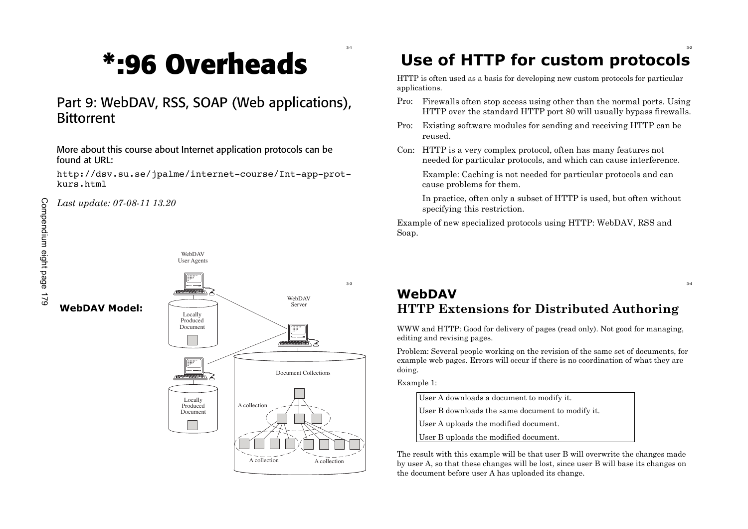# **\*:96 O v erh e a d s**

#### Part 9: WebDAV, RSS, SOAP (Web applications), **Bittorrent**

More about this course about Internet application protocols can be found at URL:

http://dsv.su.se/jpalme/internet -course/Int -app -prot kurs.html

*Last update : 0 7- 0 8 - 1 1 1 3 . 2 0*

**We bDA V M o d e l :**



#### 3 - 2 Use of HTTP for custom protocols

HTTP is often used as a basis for developing new custom protocols for particular applications.

- Pro: Firewalls often stop access using other than the normal ports. Using HTTP over the standard HTTP port 80 will usually bypass firewalls.
- Pro: Existing software modules for sending and receiving HTTP can be reused.
- Con: HTTP is a very complex protocol, often has many features not needed for particular protocols, and which can cause interference.

Example: Caching is not needed for particular protocols and can cause problems for them.

In practice, often only a subset of HTTP is used, but often without specifying this restriction.

Example of new specialized protocols using HTTP: WebDAV, RSS and Soap.

#### **We b D A V HTTP Extensions for Distributed Authoring**

WWW and HTTP: Good for delivery of pages (read only). Not good for managing, editing and revising pages.

Problem: Several people working on the revision of the same set of documents, for example web pages. Errors will occur if there is no coordination of what they are doing.

Example 1:

3 - 1

User A downloads a document to modify it. User B downloads the same document to modify it. User A uploads the modified document. User B uploads the modified document.

The result with this example will be that user B will overwrite the changes made by user A, so that these changes will be lost, since user B will base its changes on the document before user A has uploaded its change.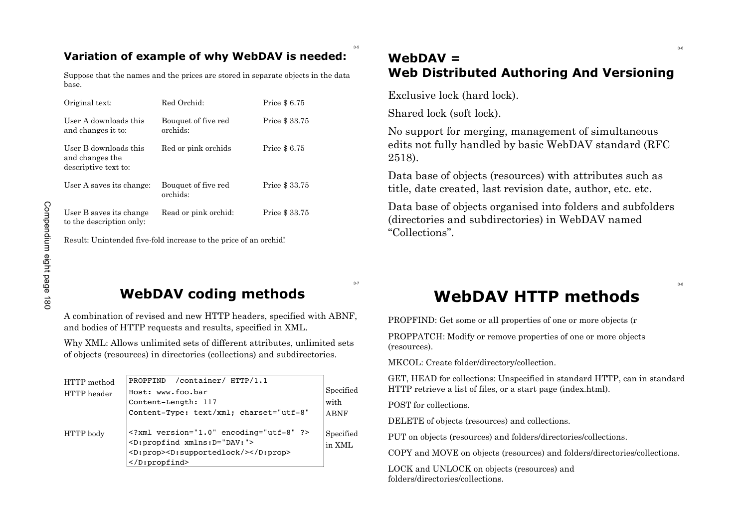#### **Variation of example of why WebDAV is needed:**

Suppose that the names and the prices are stored in separate objects in the data base.

| Original text:                                                   | Red Orchid:                     | Price \$6.75   |
|------------------------------------------------------------------|---------------------------------|----------------|
| User A downloads this<br>and changes it to:                      | Bouquet of five red<br>orchids: | Price \$ 33.75 |
| User B downloads this<br>and changes the<br>descriptive text to: | Red or pink orchids             | Price \$6.75   |
| User A saves its change:                                         | Bouquet of five red<br>orchids: | Price \$ 33.75 |
| User B saves its change<br>to the description only:              | Read or pink orchid:            | Price \$ 33.75 |

#### **WebDAV = Web Distributed Authoring And Versioning**

Exclusive lock (hard lock).

Shared lock (soft lock).

No support for merging, management of simultaneous edits not fully handled by basic WebDAV standard (RFC 2518).

Data base of objects (resources) with attributes such as title, date created, last revision date, author, etc. etc.

Data base of objects organised into folders and subfolders (directories and subdirectories) in WebDAV named "Collections".

3-5

#### **WebDAV coding methods**

| User B saves its change<br>to the description only: | Read or pink orchid:                                                                                                                              | Price \$33.75 |             | Data base of objects org<br>(directories and subdire<br>"Collections". |
|-----------------------------------------------------|---------------------------------------------------------------------------------------------------------------------------------------------------|---------------|-------------|------------------------------------------------------------------------|
|                                                     | Result: Unintended five-fold increase to the price of an orchid!                                                                                  |               |             |                                                                        |
|                                                     | <b>WebDAV coding methods</b>                                                                                                                      |               | $3 - 7$     | <b>WebDA\</b>                                                          |
|                                                     | A combination of revised and new HTTP headers, specified with ABNF,<br>and bodies of HTTP requests and results, specified in XML.                 |               |             | PROPFIND: Get some or all p                                            |
|                                                     | Why XML: Allows unlimited sets of different attributes, unlimited sets<br>of objects (resources) in directories (collections) and subdirectories. |               |             | PROPPATCH: Modify or rem<br>(resources).                               |
|                                                     |                                                                                                                                                   |               |             | MKCOL: Create folder/directe                                           |
| HTTP method<br>HTTP header                          | /container/ HTTP/1.1<br>PROPFIND<br>Host: www.foo.bar                                                                                             |               | Specified   | GET, HEAD for collections: U<br>HTTP retrieve a list of files, o       |
|                                                     | Content-Length: 117                                                                                                                               |               | with        | POST for collections.                                                  |
|                                                     | Content-Type: text/xml; charset="utf-8"                                                                                                           |               | <b>ABNF</b> | DELETE of objects (resources                                           |
| HTTP body                                           | xml version="1.0" encoding="utf-8" ?<br><d:propfind xmlns:d="DAV:"></d:propfind>                                                                  |               | Specified   | PUT on objects (resources) an                                          |
|                                                     | <d:prop><d:supportedlock></d:supportedlock></d:prop>                                                                                              |               | in XML      | COPY and MOVE on objects                                               |
|                                                     | $<$ /D:propfind>                                                                                                                                  |               |             | LOCK and UNLOCK on objec<br>folders/directories/collections.           |

# **WebDAV HTTP methods**

PROPFIND: Get some or all properties of one or more objects (r

PROPPATCH: Modify or remove properties of one or more objects (resources).

MKCOL: Create folder/directory/collection.

GET, HEAD for collections: Unspecified in standard HTTP, can in standard HTTP retrieve a list of files, or a start page (index.html).

DELETE of objects (resources) and collections.

PUT on objects (resources) and folders/directories/collections.

COPY and MOVE on objects (resources) and folders/directories/collections.

LOCK and UNLOCK on objects (resources) and

3-8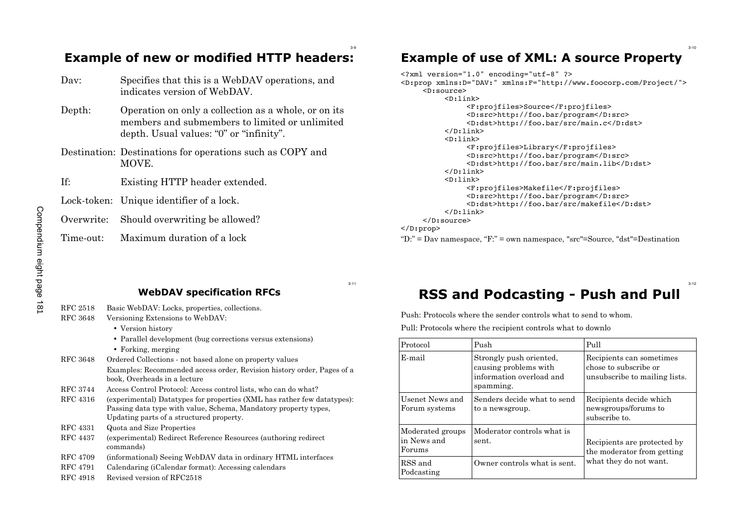3-12

## **Example of new or modified HTTP headers:**

| Dav:       | Specifies that this is a WebDAV operations, and<br>indicates version of WebDAV.                                                                   |
|------------|---------------------------------------------------------------------------------------------------------------------------------------------------|
| Depth:     | Operation on only a collection as a whole, or on its<br>members and submembers to limited or unlimited<br>depth. Usual values: "0" or "infinity". |
|            | Destination: Destinations for operations such as COPY and<br>MOVE.                                                                                |
| If:        | Existing HTTP header extended.                                                                                                                    |
|            | Lock-token: Unique identifier of a lock.                                                                                                          |
| Overwrite: | Should overwriting be allowed?                                                                                                                    |
| Time-out:  | Maximum duration of a lock                                                                                                                        |

#### **Example of use of XML: A source Property**

| xml version="1.0" encoding="utf-8" ?                                       |
|----------------------------------------------------------------------------|
| <d:prop xmlns:d="DAV:" xmlns:f="http://www.foocorp.com/Project/"></d:prop> |
| $<$ D:source $>$                                                           |
| $<$ D:link $>$                                                             |
| <f:projfiles>Source</f:projfiles>                                          |
| <d:src>http://foo.bar/program</d:src>                                      |
| <d:dst>http://foo.bar/src/main.c</d:dst>                                   |
| $\langle$ D:link>                                                          |
| $<$ D:link $>$                                                             |
|                                                                            |
| <f:projfiles>Library</f:projfiles>                                         |
| <d:src>http://foo.bar/program</d:src>                                      |
| <d:dst>http://foo.bar/src/main.lib</d:dst>                                 |
| $\langle$ D:link>                                                          |
| $<$ D:link $>$                                                             |
| <f:projfiles>Makefile</f:projfiles>                                        |
| <d:src>http://foo.bar/program</d:src>                                      |
| <d:dst>http://foo.bar/src/makefile</d:dst>                                 |
| $\langle$ D:link $\rangle$                                                 |
| $\langle$ D:source>                                                        |
|                                                                            |
| $\langle$ D:prop>                                                          |
|                                                                            |

"D:" = Dav namespace, "F:" = own namespace, "src"=Source, "dst"=Destination

3-11

3-9

#### **WebDAV specification RFCs**

| RFC 2518        | Basic WebDAV: Locks, properties, collections.                                                                                                                                          |
|-----------------|----------------------------------------------------------------------------------------------------------------------------------------------------------------------------------------|
| RFC 3648        | Versioning Extensions to WebDAV:                                                                                                                                                       |
|                 | • Version history                                                                                                                                                                      |
|                 | • Parallel development (bug corrections versus extensions)                                                                                                                             |
|                 | • Forking, merging                                                                                                                                                                     |
| RFC 3648        | Ordered Collections - not based alone on property values                                                                                                                               |
|                 | Examples: Recommended access order, Revision history order, Pages of a<br>book. Overheads in a lecture                                                                                 |
| RFC 3744        | Access Control Protocol: Access control lists, who can do what?                                                                                                                        |
| RFC 4316        | (experimental) Datatypes for properties (XML has rather few datatypes):<br>Passing data type with value, Schema, Mandatory property types,<br>Updating parts of a structured property. |
| RFC 4331        | Quota and Size Properties                                                                                                                                                              |
| RFC 4437        | (experimental) Redirect Reference Resources (authoring redirect)<br>commands)                                                                                                          |
| RFC 4709        | (informational) Seeing WebDAV data in ordinary HTML interfaces                                                                                                                         |
| <b>RFC</b> 4791 | Calendaring (iCalendar format): Accessing calendars                                                                                                                                    |
| RFC 4918        | Revised version of RFC2518                                                                                                                                                             |

## **RSS and Podcasting - Push and Pull**

Push: Protocols where the sender controls what to send to whom.

Pull: Protocols where the recipient controls what to downlo

| Protocol                                  | Push                                                                                      | Pull                                                                               |
|-------------------------------------------|-------------------------------------------------------------------------------------------|------------------------------------------------------------------------------------|
| E-mail                                    | Strongly push oriented,<br>causing problems with<br>information overload and<br>spamming. | Recipients can sometimes<br>chose to subscribe or<br>unsubscribe to mailing lists. |
| Usenet News and<br>Forum systems          | Senders decide what to send<br>to a newsgroup.                                            | Recipients decide which<br>newsgroups/forums to<br>subscribe to.                   |
| Moderated groups<br>in News and<br>Forums | Moderator controls what is<br>sent.                                                       | Recipients are protected by<br>the moderator from getting                          |
| RSS and<br>Podcasting                     | Owner controls what is sent.                                                              | what they do not want.                                                             |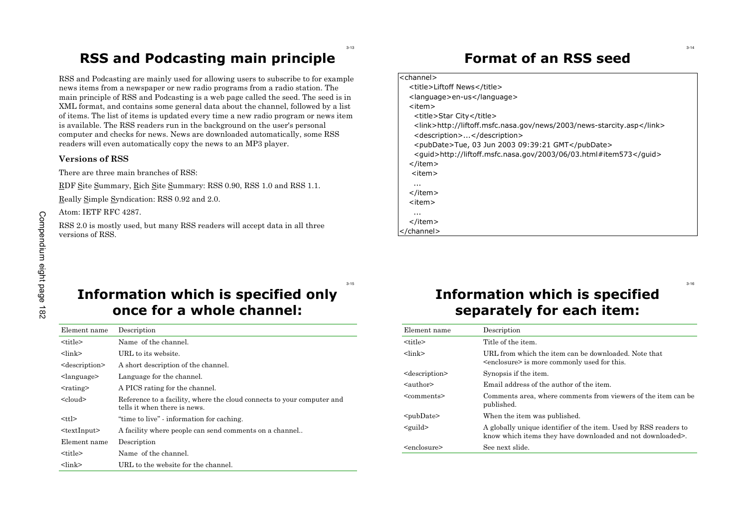#### **RSS and Podcasting main principle**

3-13

RSS and Podcasting are mainly used for allowing users to subscribe to for example news items from a newspaper or new radio programs from a radio station. The main principle of RSS and Podcasting is a web page called the seed. The seed is in XML format, and contains some general data about the channel, followed by a list of items. The list of items is updated every time a new radio program or news item is available. The RSS readers run in the background on the user's personal computer and checks for news. News are downloaded automatically, some RSS readers will even automatically copy the news to an MP3 player.

#### **Versions of RSS**

There are three main branches of RSS:

RDF Site Summary, Rich Site Summary: RSS 0.90, RSS 1.0 and RSS 1.1.

Really Simple Syndication: RSS 0.92 and 2.0.

Atom: IETF RFC 4287.

#### **Format of an RSS seed**

#### <channel> <title>Liftoff News</title> <language>en-us</language> <item> <title>Star City</title> <link>http://liftoff.msfc.nasa.gov/news/2003/news-starcity.asp</link> <description>...</description> <pubDate>Tue, 03 Jun 2003 09:39:21 GMT</pubDate> <guid>http://liftoff.msfc.nasa.gov/2003/06/03.html#item573</guid> </item> <item> ... </item> <item> ... </item> </channel>

### **Information which is specified only once for a whole channel:**

| Atom: IEIF KFU 4287.<br>RSS 2.0 is mostly used, but many RSS readers will accept data in all three<br>versions of RSS. |                                                                                                        | $\sim$ $\sim$<br>$\langle$ item><br> |                                  |
|------------------------------------------------------------------------------------------------------------------------|--------------------------------------------------------------------------------------------------------|--------------------------------------|----------------------------------|
|                                                                                                                        | $3 - 15$<br>Information which is specified only<br>once for a whole channel:                           |                                      | <b>Information</b><br>separately |
| Element name                                                                                                           | Description                                                                                            | Element name                         | Description                      |
| <title></title>                                                                                                        | Name of the channel.                                                                                   | <title></title>                      | Title of the ite                 |
| $<$ $\frac{1}{n}$                                                                                                      | URL to its website.                                                                                    | $<$ $\frac{1}{2}$                    | URL from whi                     |
| <description></description>                                                                                            | A short description of the channel.                                                                    |                                      | <enclosure> is</enclosure>       |
| $\langle$ language $\rangle$                                                                                           | Language for the channel.                                                                              | <description></description>          | Synopsis if the                  |
| $<$ rating $>$                                                                                                         | A PICS rating for the channel.                                                                         | $\alpha$ sauthor                     | Email address                    |
| $\le$ cloud $\ge$                                                                                                      | Reference to a facility, where the cloud connects to your computer and<br>tells it when there is news. | <comments></comments>                | Comments are<br>published.       |
| $<$ ttl $>$                                                                                                            | "time to live" - information for caching.                                                              | $pubDate$                            | When the item                    |
| $<$ textInput $>$                                                                                                      | A facility where people can send comments on a channel                                                 | $\le$ guild $>$                      | A globally uni<br>know which it  |
| Element name                                                                                                           | Description                                                                                            | <enclosure></enclosure>              | See next slide.                  |
| <title></title>                                                                                                        | Name of the channel.                                                                                   |                                      |                                  |
| $<$ lin $k>$                                                                                                           | URL to the website for the channel.                                                                    |                                      |                                  |

## **Information which is specified separately for each item:**

| Element name                | Description                                                                                                                   |
|-----------------------------|-------------------------------------------------------------------------------------------------------------------------------|
| <title></title>             | Title of the item.                                                                                                            |
| $<$ lin $k>$                | URL from which the item can be downloaded. Note that<br><enclosure> is more commonly used for this.</enclosure>               |
| <description></description> | Synopsis if the item.                                                                                                         |
| $\leq$ author $\geq$        | Email address of the author of the item.                                                                                      |
| <comments></comments>       | Comments area, where comments from viewers of the item can be<br>published.                                                   |
| $pubDate$                   | When the item was published.                                                                                                  |
| $\le$ guild $>$             | A globally unique identifier of the item. Used by RSS readers to<br>know which items they have downloaded and not downloaded. |
| <enclosure></enclosure>     | See next slide.                                                                                                               |